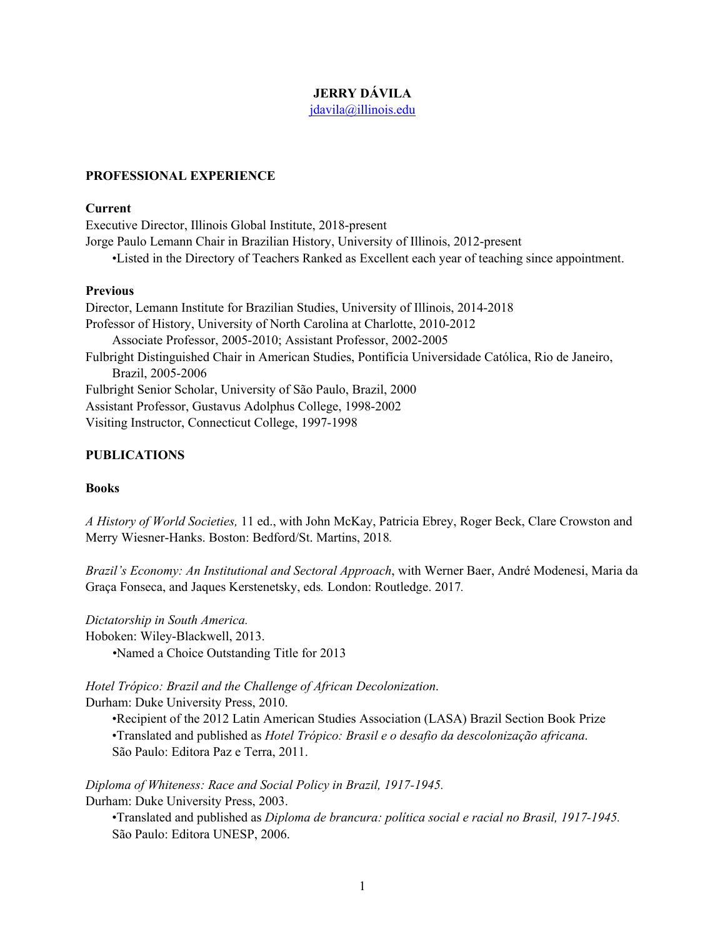# **JERRY DÁVILA**

jdavila@illinois.edu

# **PROFESSIONAL EXPERIENCE**

#### **Current**

Executive Director, Illinois Global Institute, 2018-present Jorge Paulo Lemann Chair in Brazilian History, University of Illinois, 2012-present •Listed in the Directory of Teachers Ranked as Excellent each year of teaching since appointment.

#### **Previous**

Director, Lemann Institute for Brazilian Studies, University of Illinois, 2014-2018 Professor of History, University of North Carolina at Charlotte, 2010-2012 Associate Professor, 2005-2010; Assistant Professor, 2002-2005 Fulbright Distinguished Chair in American Studies, Pontifícia Universidade Católica, Rio de Janeiro, Brazil, 2005-2006 Fulbright Senior Scholar, University of São Paulo, Brazil, 2000 Assistant Professor, Gustavus Adolphus College, 1998-2002 Visiting Instructor, Connecticut College, 1997-1998

### **PUBLICATIONS**

### **Books**

*A History of World Societies,* 11 ed., with John McKay, Patricia Ebrey, Roger Beck, Clare Crowston and Merry Wiesner-Hanks. Boston: Bedford/St. Martins, 2018*.*

*Brazil's Economy: An Institutional and Sectoral Approach*, with Werner Baer, André Modenesi, Maria da Graça Fonseca, and Jaques Kerstenetsky, eds*.* London: Routledge. 2017*.*

*Dictatorship in South America.* Hoboken: Wiley-Blackwell, 2013. *•*Named a Choice Outstanding Title for 2013

*Hotel Trópico: Brazil and the Challenge of African Decolonization*. Durham: Duke University Press, 2010.

•Recipient of the 2012 Latin American Studies Association (LASA) Brazil Section Book Prize •Translated and published as *Hotel Trópico: Brasil e o desafio da descolonização africana*. São Paulo: Editora Paz e Terra, 2011.

*Diploma of Whiteness: Race and Social Policy in Brazil, 1917-1945.* Durham: Duke University Press, 2003.

•Translated and published as *Diploma de brancura: política social e racial no Brasil, 1917-1945.*  São Paulo: Editora UNESP, 2006.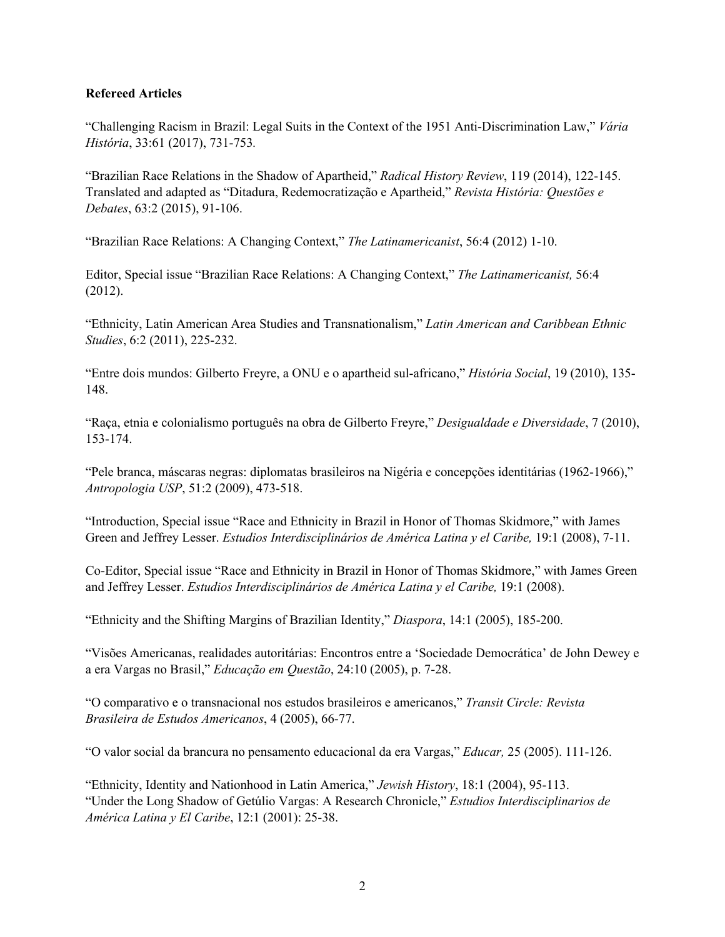## **Refereed Articles**

"Challenging Racism in Brazil: Legal Suits in the Context of the 1951 Anti-Discrimination Law," *Vária História*, 33:61 (2017), 731-753*.*

"Brazilian Race Relations in the Shadow of Apartheid," *Radical History Review*, 119 (2014), 122-145. Translated and adapted as "Ditadura, Redemocratização e Apartheid," *Revista História: Questões e Debates*, 63:2 (2015), 91-106.

"Brazilian Race Relations: A Changing Context," *The Latinamericanist*, 56:4 (2012) 1-10.

Editor, Special issue "Brazilian Race Relations: A Changing Context," *The Latinamericanist,* 56:4 (2012).

"Ethnicity, Latin American Area Studies and Transnationalism," *Latin American and Caribbean Ethnic Studies*, 6:2 (2011), 225-232.

"Entre dois mundos: Gilberto Freyre, a ONU e o apartheid sul-africano," *História Social*, 19 (2010), 135- 148.

"Raça, etnia e colonialismo português na obra de Gilberto Freyre," *Desigualdade e Diversidade*, 7 (2010), 153-174.

"Pele branca, máscaras negras: diplomatas brasileiros na Nigéria e concepções identitárias (1962-1966)," *Antropologia USP*, 51:2 (2009), 473-518.

"Introduction, Special issue "Race and Ethnicity in Brazil in Honor of Thomas Skidmore," with James Green and Jeffrey Lesser. *Estudios Interdisciplinários de América Latina y el Caribe,* 19:1 (2008), 7-11.

Co-Editor, Special issue "Race and Ethnicity in Brazil in Honor of Thomas Skidmore," with James Green and Jeffrey Lesser. *Estudios Interdisciplinários de América Latina y el Caribe,* 19:1 (2008).

"Ethnicity and the Shifting Margins of Brazilian Identity," *Diaspora*, 14:1 (2005), 185-200.

"Visões Americanas, realidades autoritárias: Encontros entre a 'Sociedade Democrática' de John Dewey e a era Vargas no Brasil," *Educação em Questão*, 24:10 (2005), p. 7-28.

"O comparativo e o transnacional nos estudos brasileiros e americanos," *Transit Circle: Revista Brasileira de Estudos Americanos*, 4 (2005), 66-77.

"O valor social da brancura no pensamento educacional da era Vargas," *Educar,* 25 (2005). 111-126.

"Ethnicity, Identity and Nationhood in Latin America," *Jewish History*, 18:1 (2004), 95-113. "Under the Long Shadow of Getúlio Vargas: A Research Chronicle," *Estudios Interdisciplinarios de América Latina y El Caribe*, 12:1 (2001): 25-38.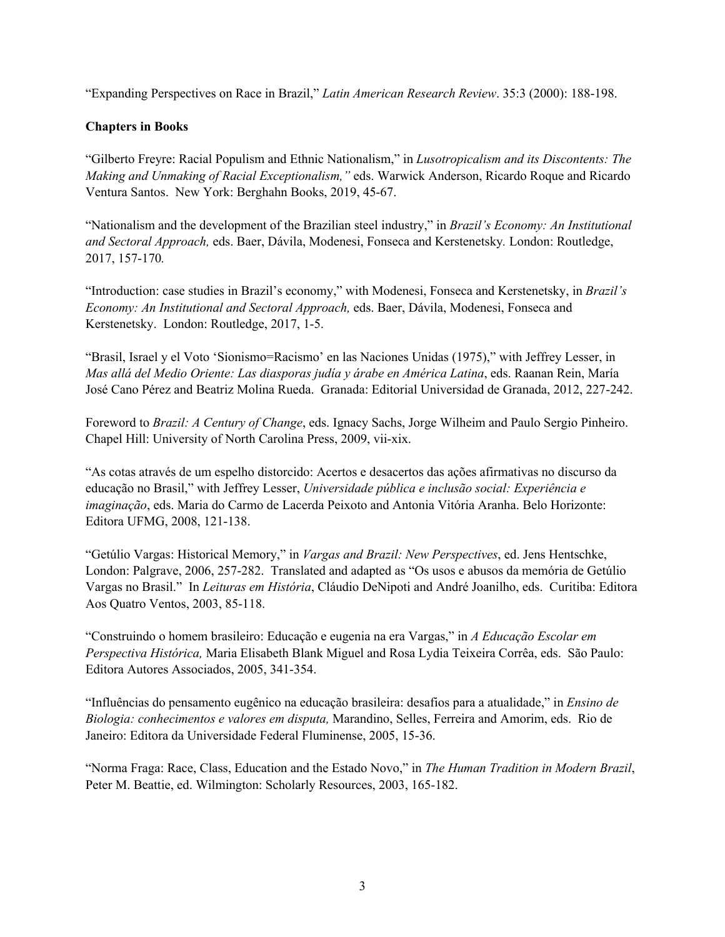"Expanding Perspectives on Race in Brazil," *Latin American Research Review*. 35:3 (2000): 188-198.

# **Chapters in Books**

"Gilberto Freyre: Racial Populism and Ethnic Nationalism," in *Lusotropicalism and its Discontents: The Making and Unmaking of Racial Exceptionalism,"* eds. Warwick Anderson, Ricardo Roque and Ricardo Ventura Santos. New York: Berghahn Books, 2019, 45-67.

"Nationalism and the development of the Brazilian steel industry," in *Brazil's Economy: An Institutional and Sectoral Approach,* eds. Baer, Dávila, Modenesi, Fonseca and Kerstenetsky*.* London: Routledge, 2017, 157-170*.*

"Introduction: case studies in Brazil's economy," with Modenesi, Fonseca and Kerstenetsky, in *Brazil's Economy: An Institutional and Sectoral Approach,* eds. Baer, Dávila, Modenesi, Fonseca and Kerstenetsky. London: Routledge, 2017, 1-5.

"Brasil, Israel y el Voto 'Sionismo=Racismo' en las Naciones Unidas (1975)," with Jeffrey Lesser, in *Mas allá del Medio Oriente: Las diasporas judía y árabe en América Latina*, eds. Raanan Rein, María José Cano Pérez and Beatriz Molina Rueda. Granada: Editorial Universidad de Granada, 2012, 227-242.

Foreword to *Brazil: A Century of Change*, eds. Ignacy Sachs, Jorge Wilheim and Paulo Sergio Pinheiro. Chapel Hill: University of North Carolina Press, 2009, vii-xix.

"As cotas através de um espelho distorcido: Acertos e desacertos das ações afirmativas no discurso da educação no Brasil," with Jeffrey Lesser, *Universidade pública e inclusão social: Experiência e imaginação*, eds. Maria do Carmo de Lacerda Peixoto and Antonia Vitória Aranha. Belo Horizonte: Editora UFMG, 2008, 121-138.

"Getúlio Vargas: Historical Memory," in *Vargas and Brazil: New Perspectives*, ed. Jens Hentschke, London: Palgrave, 2006, 257-282. Translated and adapted as "Os usos e abusos da memória de Getúlio Vargas no Brasil." In *Leituras em História*, Cláudio DeNipoti and André Joanilho, eds. Curitiba: Editora Aos Quatro Ventos, 2003, 85-118.

"Construindo o homem brasileiro: Educação e eugenia na era Vargas," in *A Educação Escolar em Perspectiva Histórica,* Maria Elisabeth Blank Miguel and Rosa Lydia Teixeira Corrêa, eds. São Paulo: Editora Autores Associados, 2005, 341-354.

"Influências do pensamento eugênico na educação brasileira: desafios para a atualidade," in *Ensino de Biologia: conhecimentos e valores em disputa,* Marandino, Selles, Ferreira and Amorim, eds. Rio de Janeiro: Editora da Universidade Federal Fluminense, 2005, 15-36.

"Norma Fraga: Race, Class, Education and the Estado Novo," in *The Human Tradition in Modern Brazil*, Peter M. Beattie, ed. Wilmington: Scholarly Resources, 2003, 165-182.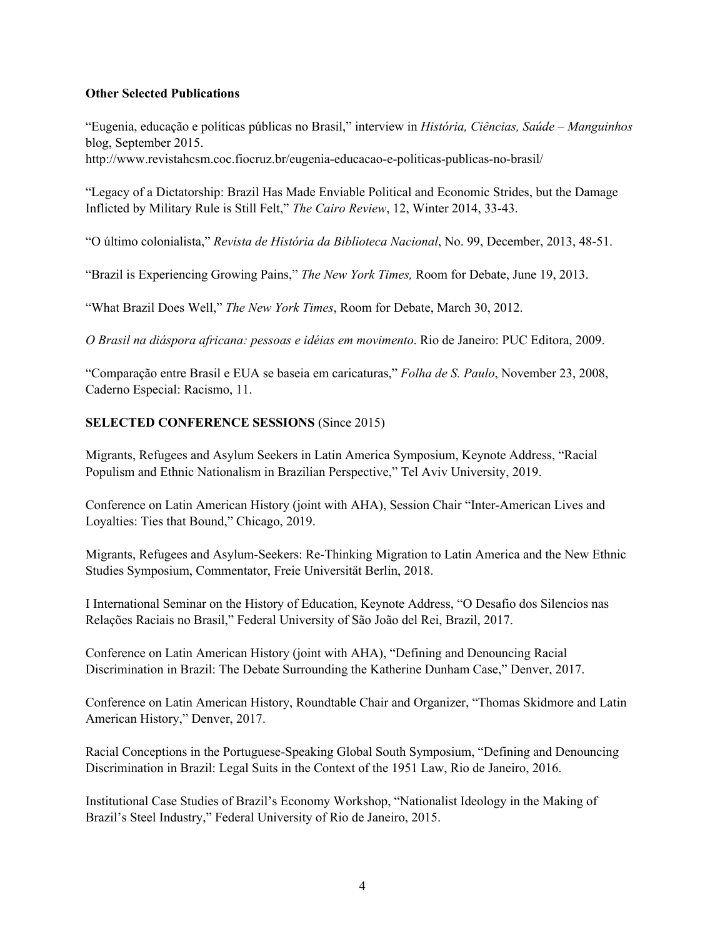# **Other Selected Publications**

"Eugenia, educação e políticas públicas no Brasil," interview in *História, Ciências, Saúde – Manguinhos*  blog, September 2015.

http://www.revistahcsm.coc.fiocruz.br/eugenia-educacao-e-politicas-publicas-no-brasil/

"Legacy of a Dictatorship: Brazil Has Made Enviable Political and Economic Strides, but the Damage Inflicted by Military Rule is Still Felt," *The Cairo Review*, 12, Winter 2014, 33-43.

"O último colonialista," *Revista de História da Biblioteca Nacional*, No. 99, December, 2013, 48-51.

"Brazil is Experiencing Growing Pains," *The New York Times,* Room for Debate, June 19, 2013.

"What Brazil Does Well," *The New York Times*, Room for Debate, March 30, 2012.

*O Brasil na diáspora africana: pessoas e idéias em movimento*. Rio de Janeiro: PUC Editora, 2009.

"Comparação entre Brasil e EUA se baseia em caricaturas," *Folha de S. Paulo*, November 23, 2008, Caderno Especial: Racismo, 11.

# **SELECTED CONFERENCE SESSIONS** (Since 2015)

Migrants, Refugees and Asylum Seekers in Latin America Symposium, Keynote Address, "Racial Populism and Ethnic Nationalism in Brazilian Perspective," Tel Aviv University, 2019.

Conference on Latin American History (joint with AHA), Session Chair "Inter-American Lives and Loyalties: Ties that Bound," Chicago, 2019.

Migrants, Refugees and Asylum-Seekers: Re-Thinking Migration to Latin America and the New Ethnic Studies Symposium, Commentator, Freie Universität Berlin, 2018.

I International Seminar on the History of Education, Keynote Address, "O Desafio dos Silencios nas Relações Raciais no Brasil," Federal University of São João del Rei, Brazil, 2017.

Conference on Latin American History (joint with AHA), "Defining and Denouncing Racial Discrimination in Brazil: The Debate Surrounding the Katherine Dunham Case," Denver, 2017.

Conference on Latin American History, Roundtable Chair and Organizer, "Thomas Skidmore and Latin American History," Denver, 2017.

Racial Conceptions in the Portuguese-Speaking Global South Symposium, "Defining and Denouncing Discrimination in Brazil: Legal Suits in the Context of the 1951 Law, Rio de Janeiro, 2016.

Institutional Case Studies of Brazil's Economy Workshop, "Nationalist Ideology in the Making of Brazil's Steel Industry," Federal University of Rio de Janeiro, 2015.